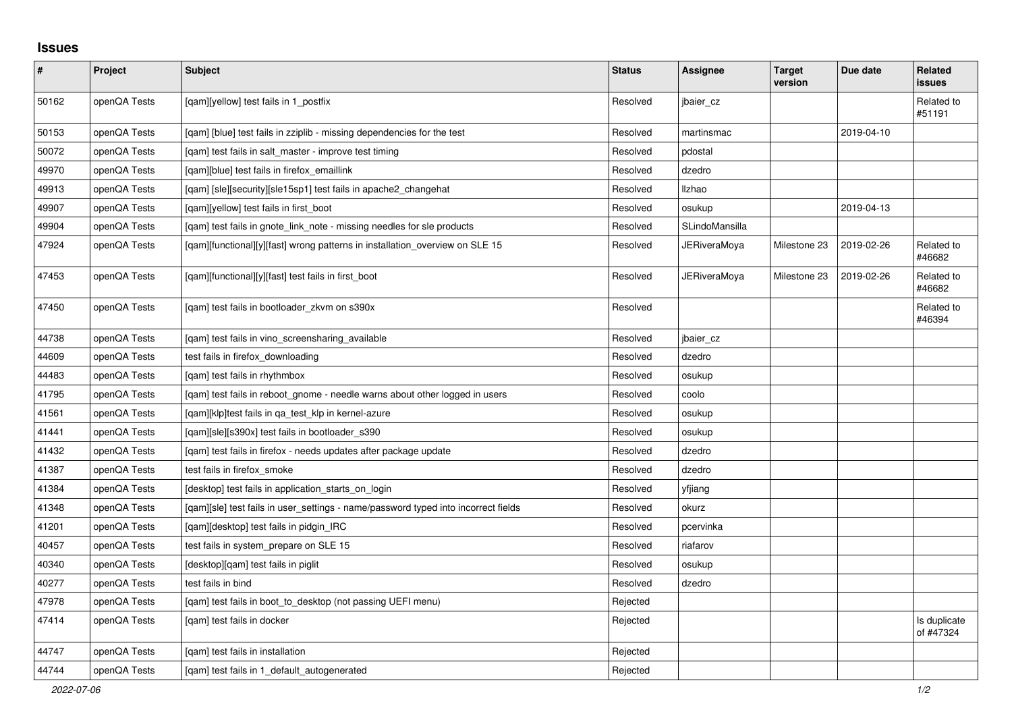## **Issues**

| $\pmb{\#}$ | Project      | <b>Subject</b>                                                                     | <b>Status</b> | <b>Assignee</b>     | <b>Target</b><br>version | Due date   | <b>Related</b><br>issues  |
|------------|--------------|------------------------------------------------------------------------------------|---------------|---------------------|--------------------------|------------|---------------------------|
| 50162      | openQA Tests | [qam][yellow] test fails in 1_postfix                                              | Resolved      | jbaier cz           |                          |            | Related to<br>#51191      |
| 50153      | openQA Tests | [gam] [blue] test fails in zziplib - missing dependencies for the test             | Resolved      | martinsmac          |                          | 2019-04-10 |                           |
| 50072      | openQA Tests | [gam] test fails in salt master - improve test timing                              | Resolved      | pdostal             |                          |            |                           |
| 49970      | openQA Tests | [qam][blue] test fails in firefox_emaillink                                        | Resolved      | dzedro              |                          |            |                           |
| 49913      | openQA Tests | [qam] [sle][security][sle15sp1] test fails in apache2_changehat                    | Resolved      | <b>Ilzhao</b>       |                          |            |                           |
| 49907      | openQA Tests | [qam][yellow] test fails in first_boot                                             | Resolved      | osukup              |                          | 2019-04-13 |                           |
| 49904      | openQA Tests | [qam] test fails in gnote_link_note - missing needles for sle products             | Resolved      | SLindoMansilla      |                          |            |                           |
| 47924      | openQA Tests | [qam][functional][y][fast] wrong patterns in installation_overview on SLE 15       | Resolved      | <b>JERiveraMoya</b> | Milestone 23             | 2019-02-26 | Related to<br>#46682      |
| 47453      | openQA Tests | [gam][functional][y][fast] test fails in first boot                                | Resolved      | JERiveraMoya        | Milestone 23             | 2019-02-26 | Related to<br>#46682      |
| 47450      | openQA Tests | [qam] test fails in bootloader_zkvm on s390x                                       | Resolved      |                     |                          |            | Related to<br>#46394      |
| 44738      | openQA Tests | [gam] test fails in vino screensharing available                                   | Resolved      | jbaier_cz           |                          |            |                           |
| 44609      | openQA Tests | test fails in firefox_downloading                                                  | Resolved      | dzedro              |                          |            |                           |
| 44483      | openQA Tests | [gam] test fails in rhythmbox                                                      | Resolved      | osukup              |                          |            |                           |
| 41795      | openQA Tests | [gam] test fails in reboot gnome - needle warns about other logged in users        | Resolved      | coolo               |                          |            |                           |
| 41561      | openQA Tests | [qam][klp]test fails in qa_test_klp in kernel-azure                                | Resolved      | osukup              |                          |            |                           |
| 41441      | openQA Tests | [qam][sle][s390x] test fails in bootloader_s390                                    | Resolved      | osukup              |                          |            |                           |
| 41432      | openQA Tests | [qam] test fails in firefox - needs updates after package update                   | Resolved      | dzedro              |                          |            |                           |
| 41387      | openQA Tests | test fails in firefox_smoke                                                        | Resolved      | dzedro              |                          |            |                           |
| 41384      | openQA Tests | [desktop] test fails in application_starts_on_login                                | Resolved      | yfjiang             |                          |            |                           |
| 41348      | openQA Tests | [gam][sle] test fails in user settings - name/password typed into incorrect fields | Resolved      | okurz               |                          |            |                           |
| 41201      | openQA Tests | [gam][desktop] test fails in pidgin IRC                                            | Resolved      | pcervinka           |                          |            |                           |
| 40457      | openQA Tests | test fails in system prepare on SLE 15                                             | Resolved      | riafarov            |                          |            |                           |
| 40340      | openQA Tests | [desktop][qam] test fails in piglit                                                | Resolved      | osukup              |                          |            |                           |
| 40277      | openQA Tests | test fails in bind                                                                 | Resolved      | dzedro              |                          |            |                           |
| 47978      | openQA Tests | [qam] test fails in boot_to_desktop (not passing UEFI menu)                        | Rejected      |                     |                          |            |                           |
| 47414      | openQA Tests | [qam] test fails in docker                                                         | Rejected      |                     |                          |            | Is duplicate<br>of #47324 |
| 44747      | openQA Tests | [gam] test fails in installation                                                   | Rejected      |                     |                          |            |                           |
| 44744      | openQA Tests | [gam] test fails in 1 default autogenerated                                        | Rejected      |                     |                          |            |                           |